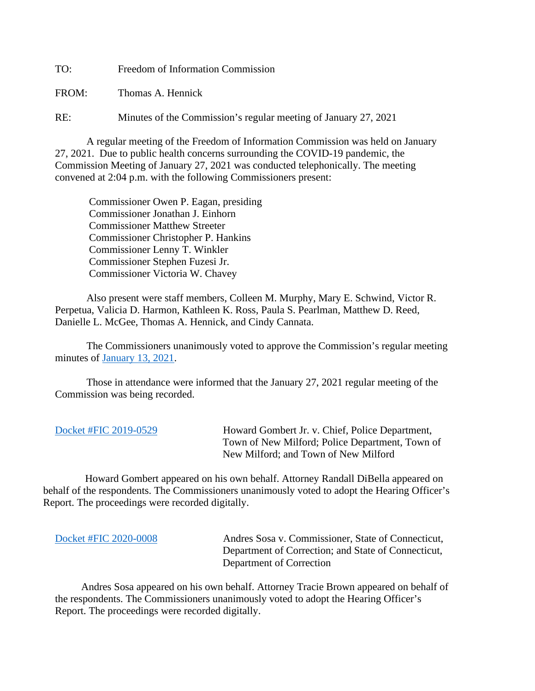TO: Freedom of Information Commission

FROM: Thomas A. Hennick

RE: Minutes of the Commission's regular meeting of January 27, 2021

A regular meeting of the Freedom of Information Commission was held on January 27, 2021. Due to public health concerns surrounding the COVID-19 pandemic, the Commission Meeting of January 27, 2021 was conducted telephonically. The meeting convened at 2:04 p.m. with the following Commissioners present:

 Commissioner Owen P. Eagan, presiding Commissioner Jonathan J. Einhorn Commissioner Matthew Streeter Commissioner Christopher P. Hankins Commissioner Lenny T. Winkler Commissioner Stephen Fuzesi Jr. Commissioner Victoria W. Chavey

Also present were staff members, Colleen M. Murphy, Mary E. Schwind, Victor R. Perpetua, Valicia D. Harmon, Kathleen K. Ross, Paula S. Pearlman, Matthew D. Reed, Danielle L. McGee, Thomas A. Hennick, and Cindy Cannata.

The Commissioners unanimously voted to approve the Commission's regular meeting minutes of [January 13, 2021.](https://portal.ct.gov/-/media/FOI/Minutes/2021/Minutes-1-13-2021.pdf)

 Those in attendance were informed that the January 27, 2021 regular meeting of the Commission was being recorded.

| Docket #FIC 2019-0529 | Howard Gombert Jr. v. Chief, Police Department, |
|-----------------------|-------------------------------------------------|
|                       | Town of New Milford; Police Department, Town of |
|                       | New Milford; and Town of New Milford            |

 Howard Gombert appeared on his own behalf. Attorney Randall DiBella appeared on behalf of the respondents. The Commissioners unanimously voted to adopt the Hearing Officer's Report. The proceedings were recorded digitally.

[Docket #FIC 2020-0008](https://portal.ct.gov/-/media/FOI/FinalDecisions/2021/Jan27/2020-0008.pdf) Andres Sosa v. Commissioner, State of Connecticut, Department of Correction; and State of Connecticut, Department of Correction

 Andres Sosa appeared on his own behalf. Attorney Tracie Brown appeared on behalf of the respondents. The Commissioners unanimously voted to adopt the Hearing Officer's Report. The proceedings were recorded digitally.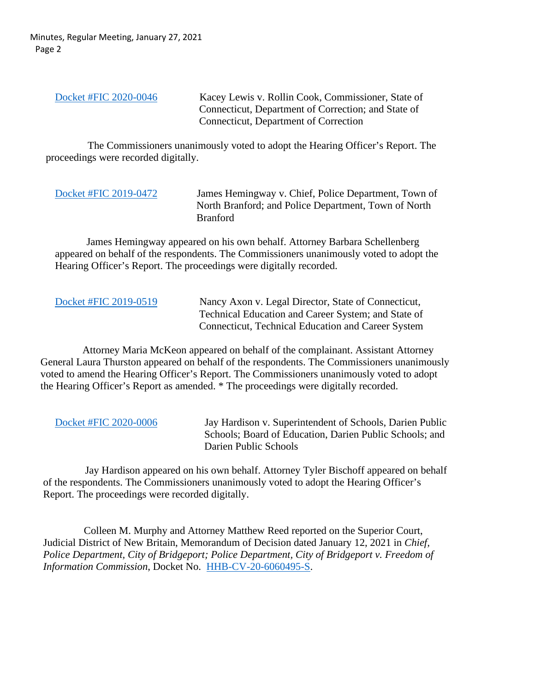Minutes, Regular Meeting, January 27, 2021 Page 2

[Docket #FIC 2020-0046](https://portal.ct.gov/-/media/FOI/FinalDecisions/2021/Jan27/2020-0046.pdf) Kacey Lewis v. Rollin Cook, Commissioner, State of Connecticut, Department of Correction; and State of Connecticut, Department of Correction

 The Commissioners unanimously voted to adopt the Hearing Officer's Report. The proceedings were recorded digitally.

| Docket #FIC 2019-0472 |  |
|-----------------------|--|
|-----------------------|--|

James Hemingway v. Chief, Police Department, Town of North Branford; and Police Department, Town of North Branford

James Hemingway appeared on his own behalf. Attorney Barbara Schellenberg appeared on behalf of the respondents. The Commissioners unanimously voted to adopt the Hearing Officer's Report. The proceedings were digitally recorded.

[Docket #FIC 2019-0519](https://portal.ct.gov/-/media/FOI/FinalDecisions/2021/Jan27/2019-0519.pdf) Nancy Axon v. Legal Director, State of Connecticut, Technical Education and Career System; and State of Connecticut, Technical Education and Career System

 Attorney Maria McKeon appeared on behalf of the complainant. Assistant Attorney General Laura Thurston appeared on behalf of the respondents. The Commissioners unanimously voted to amend the Hearing Officer's Report. The Commissioners unanimously voted to adopt the Hearing Officer's Report as amended. \* The proceedings were digitally recorded.

[Docket #FIC 2020-0006](https://portal.ct.gov/-/media/FOI/FinalDecisions/2021/Jan27/2020-0006.pdf) Jay Hardison v. Superintendent of Schools, Darien Public Schools; Board of Education, Darien Public Schools; and Darien Public Schools

 Jay Hardison appeared on his own behalf. Attorney Tyler Bischoff appeared on behalf of the respondents. The Commissioners unanimously voted to adopt the Hearing Officer's Report. The proceedings were recorded digitally.

 Colleen M. Murphy and Attorney Matthew Reed reported on the Superior Court, Judicial District of New Britain, Memorandum of Decision dated January 12, 2021 in *Chief, Police Department, City of Bridgeport; Police Department, City of Bridgeport v. Freedom of Information Commission*, Docket No. [HHB-CV-20-6060495-S.](http://civilinquiry.jud.ct.gov/DocumentInquiry/DocumentInquiry.aspx?DocumentNo=20060131)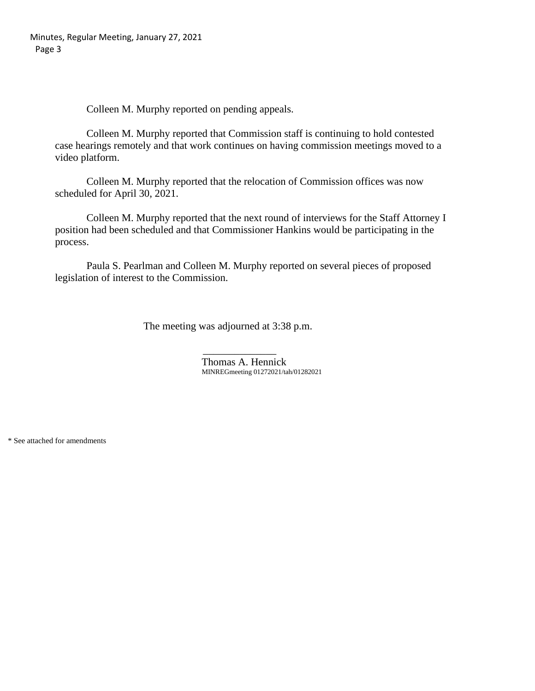Colleen M. Murphy reported on pending appeals.

Colleen M. Murphy reported that Commission staff is continuing to hold contested case hearings remotely and that work continues on having commission meetings moved to a video platform.

Colleen M. Murphy reported that the relocation of Commission offices was now scheduled for April 30, 2021.

Colleen M. Murphy reported that the next round of interviews for the Staff Attorney I position had been scheduled and that Commissioner Hankins would be participating in the process.

Paula S. Pearlman and Colleen M. Murphy reported on several pieces of proposed legislation of interest to the Commission.

The meeting was adjourned at 3:38 p.m.

 $\mathcal{L}_\text{max}$  and  $\mathcal{L}_\text{max}$  and  $\mathcal{L}_\text{max}$  and  $\mathcal{L}_\text{max}$ Thomas A. Hennick MINREGmeeting 01272021/tah/01282021

\* See attached for amendments